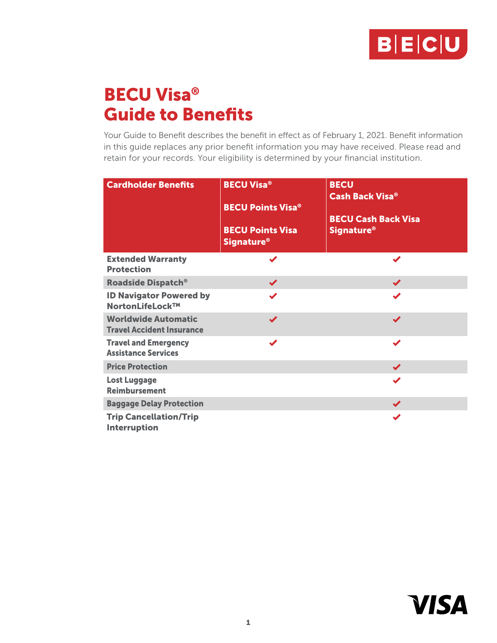

# BECU Visa® Guide to Benefits

Your Guide to Benefit describes the benefit in effect as of February 1, 2021. Benefit information in this guide replaces any prior benefit information you may have received. Please read and retain for your records. Your eligibility is determined by your financial institution.

| <b>Cardholder Benefits</b>                                     | <b>BECU Visa®</b><br><b>BECU Points Visa<sup>®</sup></b><br><b>BECU Points Visa</b><br><b>Signature</b> <sup>®</sup> | <b>BECU</b><br><b>Cash Back Visa®</b><br><b>BECU Cash Back Visa</b><br><b>Signature<sup>®</sup></b> |
|----------------------------------------------------------------|----------------------------------------------------------------------------------------------------------------------|-----------------------------------------------------------------------------------------------------|
| <b>Extended Warranty</b><br><b>Protection</b>                  |                                                                                                                      | ✔                                                                                                   |
| <b>Roadside Dispatch®</b>                                      | $\blacktriangledown$                                                                                                 | $\blacktriangledown$                                                                                |
| <b>ID Navigator Powered by</b><br>NortonLifeLock™              | ✔                                                                                                                    | ✔                                                                                                   |
| <b>Worldwide Automatic</b><br><b>Travel Accident Insurance</b> | ✔                                                                                                                    | ✔                                                                                                   |
| <b>Travel and Emergency</b><br><b>Assistance Services</b>      | ✔                                                                                                                    | ✔                                                                                                   |
| <b>Price Protection</b>                                        |                                                                                                                      | $\checkmark$                                                                                        |
| <b>Lost Luggage</b><br><b>Reimbursement</b>                    |                                                                                                                      | ✔                                                                                                   |
| <b>Baggage Delay Protection</b>                                |                                                                                                                      | $\blacktriangledown$                                                                                |
| <b>Trip Cancellation/Trip</b><br><b>Interruption</b>           |                                                                                                                      | ✔                                                                                                   |

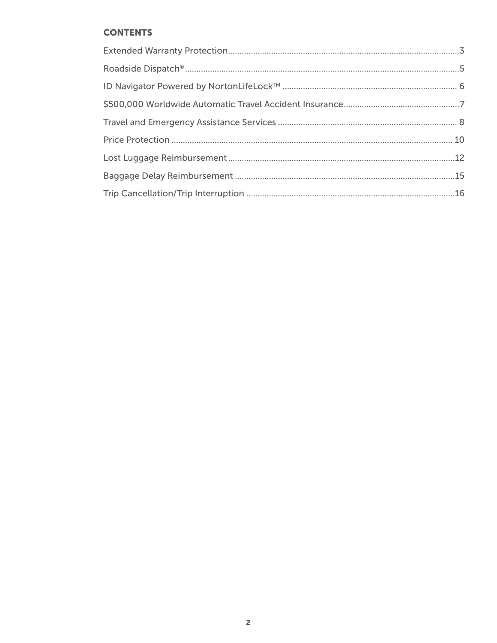# **CONTENTS**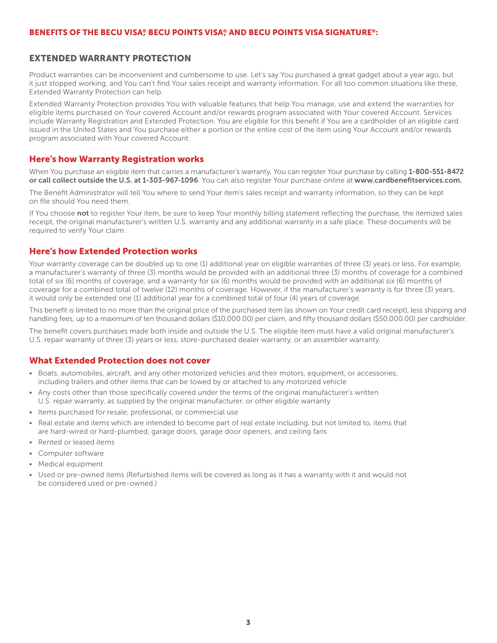#### <span id="page-2-0"></span>EXTENDED WARRANTY PROTECTION

Product warranties can be inconvenient and cumbersome to use. Let's say You purchased a great gadget about a year ago, but it just stopped working, and You can't find Your sales receipt and warranty information. For all too common situations like these, Extended Warranty Protection can help.

Extended Warranty Protection provides You with valuable features that help You manage, use and extend the warranties for eligible items purchased on Your covered Account and/or rewards program associated with Your covered Account. Services include Warranty Registration and Extended Protection. You are eligible for this benefit if You are a cardholder of an eligible card issued in the United States and You purchase either a portion or the entire cost of the item using Your Account and/or rewards program associated with Your covered Account.

#### Here's how Warranty Registration works

When You purchase an eligible item that carries a manufacturer's warranty. You can register Your purchase by calling 1-800-551-8472 or call collect outside the U.S. at 1-303-967-1096. You can also register Your purchase online at www.cardbenefitservices.com.

The Benefit Administrator will tell You where to send Your item's sales receipt and warranty information, so they can be kept on file should You need them.

If You choose not to register Your item, be sure to keep Your monthly billing statement reflecting the purchase, the itemized sales receipt, the original manufacturer's written U.S. warranty and any additional warranty in a safe place. These documents will be required to verify Your claim.

#### Here's how Extended Protection works

Your warranty coverage can be doubled up to one (1) additional year on eligible warranties of three (3) years or less. For example, a manufacturer's warranty of three (3) months would be provided with an additional three (3) months of coverage for a combined total of six (6) months of coverage, and a warranty for six (6) months would be provided with an additional six (6) months of coverage for a combined total of twelve (12) months of coverage. However, if the manufacturer's warranty is for three (3) years, it would only be extended one (1) additional year for a combined total of four (4) years of coverage.

This benefit is limited to no more than the original price of the purchased item (as shown on Your credit card receipt), less shipping and handling fees, up to a maximum of ten thousand dollars (\$10,000.00) per claim, and fifty thousand dollars (\$50,000.00) per cardholder.

The benefit covers purchases made both inside and outside the U.S. The eligible item must have a valid original manufacturer's U.S. repair warranty of three (3) years or less, store-purchased dealer warranty, or an assembler warranty.

#### What Extended Protection does not cover

- Boats, automobiles, aircraft, and any other motorized vehicles and their motors, equipment, or accessories, including trailers and other items that can be towed by or attached to any motorized vehicle
- Any costs other than those specifically covered under the terms of the original manufacturer's written U.S. repair warranty, as supplied by the original manufacturer, or other eligible warranty
- Items purchased for resale, professional, or commercial use
- Real estate and items which are intended to become part of real estate including, but not limited to, items that are hard-wired or hard-plumbed, garage doors, garage door openers, and ceiling fans
- Rented or leased items
- Computer software
- Medical equipment
- Used or pre-owned items (Refurbished items will be covered as long as it has a warranty with it and would not be considered used or pre-owned.)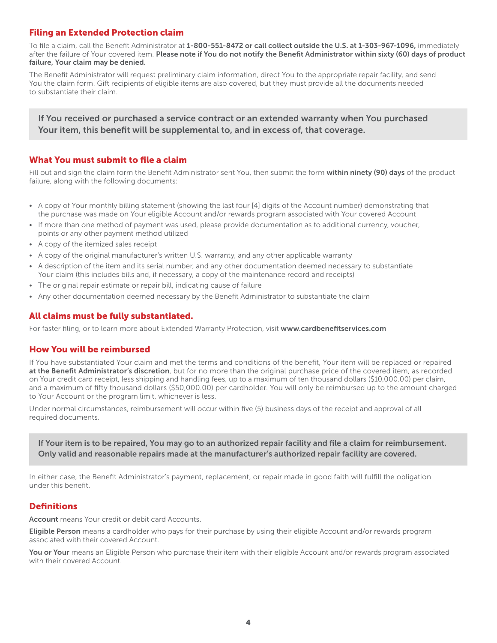## Filing an Extended Protection claim

To file a claim, call the Benefit Administrator at 1-800-551-8472 or call collect outside the U.S. at 1-303-967-1096, immediately after the failure of Your covered item. Please note if You do not notify the Benefit Administrator within sixty (60) days of product failure, Your claim may be denied.

The Benefit Administrator will request preliminary claim information, direct You to the appropriate repair facility, and send You the claim form. Gift recipients of eligible items are also covered, but they must provide all the documents needed to substantiate their claim.

If You received or purchased a service contract or an extended warranty when You purchased Your item, this benefit will be supplemental to, and in excess of, that coverage.

## What You must submit to file a claim

Fill out and sign the claim form the Benefit Administrator sent You, then submit the form within ninety (90) days of the product failure, along with the following documents:

- A copy of Your monthly billing statement (showing the last four [4] digits of the Account number) demonstrating that the purchase was made on Your eligible Account and/or rewards program associated with Your covered Account
- If more than one method of payment was used, please provide documentation as to additional currency, voucher, points or any other payment method utilized
- A copy of the itemized sales receipt
- A copy of the original manufacturer's written U.S. warranty, and any other applicable warranty
- A description of the item and its serial number, and any other documentation deemed necessary to substantiate Your claim (this includes bills and, if necessary, a copy of the maintenance record and receipts)
- The original repair estimate or repair bill, indicating cause of failure
- Any other documentation deemed necessary by the Benefit Administrator to substantiate the claim

## All claims must be fully substantiated.

For faster filing, or to learn more about Extended Warranty Protection, visit www.cardbenefitservices.com

#### How You will be reimbursed

If You have substantiated Your claim and met the terms and conditions of the benefit, Your item will be replaced or repaired at the Benefit Administrator's discretion, but for no more than the original purchase price of the covered item, as recorded on Your credit card receipt, less shipping and handling fees, up to a maximum of ten thousand dollars (\$10,000.00) per claim, and a maximum of fifty thousand dollars (\$50,000.00) per cardholder. You will only be reimbursed up to the amount charged to Your Account or the program limit, whichever is less.

Under normal circumstances, reimbursement will occur within five (5) business days of the receipt and approval of all required documents.

If Your item is to be repaired, You may go to an authorized repair facility and file a claim for reimbursement. Only valid and reasonable repairs made at the manufacturer's authorized repair facility are covered.

In either case, the Benefit Administrator's payment, replacement, or repair made in good faith will fulfill the obligation under this benefit.

## **Definitions**

**Account** means Your credit or debit card Accounts.

Eligible Person means a cardholder who pays for their purchase by using their eligible Account and/or rewards program associated with their covered Account.

You or Your means an Eligible Person who purchase their item with their eligible Account and/or rewards program associated with their covered Account.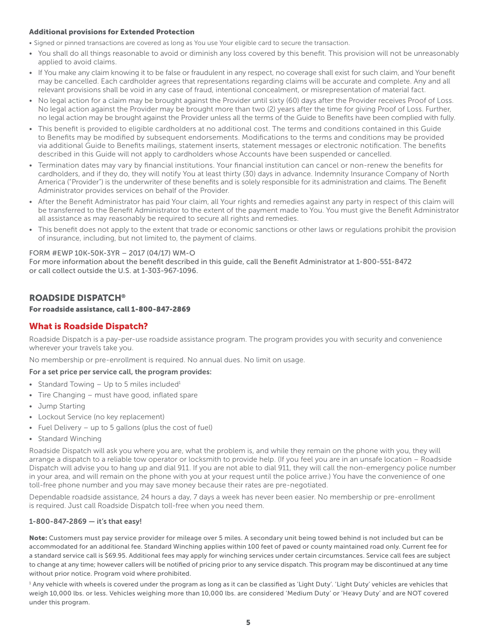#### <span id="page-4-0"></span>Additional provisions for Extended Protection

- Signed or pinned transactions are covered as long as You use Your eligible card to secure the transaction.
- You shall do all things reasonable to avoid or diminish any loss covered by this benefit. This provision will not be unreasonably applied to avoid claims.
- If You make any claim knowing it to be false or fraudulent in any respect, no coverage shall exist for such claim, and Your benefit may be cancelled. Each cardholder agrees that representations regarding claims will be accurate and complete. Any and all relevant provisions shall be void in any case of fraud, intentional concealment, or misrepresentation of material fact.
- No legal action for a claim may be brought against the Provider until sixty (60) days after the Provider receives Proof of Loss. No legal action against the Provider may be brought more than two (2) years after the time for giving Proof of Loss. Further, no legal action may be brought against the Provider unless all the terms of the Guide to Benefits have been complied with fully.
- This benefit is provided to eligible cardholders at no additional cost. The terms and conditions contained in this Guide to Benefits may be modified by subsequent endorsements. Modifications to the terms and conditions may be provided via additional Guide to Benefits mailings, statement inserts, statement messages or electronic notification. The benefits described in this Guide will not apply to cardholders whose Accounts have been suspended or cancelled.
- Termination dates may vary by financial institutions. Your financial institution can cancel or non-renew the benefits for cardholders, and if they do, they will notify You at least thirty (30) days in advance. Indemnity Insurance Company of North America ("Provider") is the underwriter of these benefits and is solely responsible for its administration and claims. The Benefit Administrator provides services on behalf of the Provider.
- After the Benefit Administrator has paid Your claim, all Your rights and remedies against any party in respect of this claim will be transferred to the Benefit Administrator to the extent of the payment made to You. You must give the Benefit Administrator all assistance as may reasonably be required to secure all rights and remedies.
- This benefit does not apply to the extent that trade or economic sanctions or other laws or regulations prohibit the provision of insurance, including, but not limited to, the payment of claims.

#### FORM #EWP 10K-50K-3YR – 2017 (04/17) WM-O

For more information about the benefit described in this guide, call the Benefit Administrator at 1-800-551-8472 or call collect outside the U.S. at 1-303-967-1096.

## ROADSIDE DISPATCH®

#### For roadside assistance, call 1-800-847-2869

## What is Roadside Dispatch?

Roadside Dispatch is a pay-per-use roadside assistance program. The program provides you with security and convenience wherever your travels take you.

No membership or pre-enrollment is required. No annual dues. No limit on usage.

#### For a set price per service call, the program provides:

- Standard Towing  $-$  Up to 5 miles included<sup>1</sup>
- Tire Changing must have good, inflated spare
- Jump Starting
- Lockout Service (no key replacement)
- Fuel Delivery up to 5 gallons (plus the cost of fuel)
- Standard Winching

Roadside Dispatch will ask you where you are, what the problem is, and while they remain on the phone with you, they will arrange a dispatch to a reliable tow operator or locksmith to provide help. (If you feel you are in an unsafe location – Roadside Dispatch will advise you to hang up and dial 911. If you are not able to dial 911, they will call the non-emergency police number in your area, and will remain on the phone with you at your request until the police arrive.) You have the convenience of one toll-free phone number and you may save money because their rates are pre-negotiated.

Dependable roadside assistance, 24 hours a day, 7 days a week has never been easier. No membership or pre-enrollment is required. Just call Roadside Dispatch toll-free when you need them.

#### 1-800-847-2869 — it's that easy!

Note: Customers must pay service provider for mileage over 5 miles. A secondary unit being towed behind is not included but can be accommodated for an additional fee. Standard Winching applies within 100 feet of paved or county maintained road only. Current fee for a standard service call is \$69.95. Additional fees may apply for winching services under certain circumstances. Service call fees are subject to change at any time; however callers will be notified of pricing prior to any service dispatch. This program may be discontinued at any time without prior notice. Program void where prohibited.

1 Any vehicle with wheels is covered under the program as long as it can be classified as 'Light Duty'. 'Light Duty' vehicles are vehicles that weigh 10,000 lbs. or less. Vehicles weighing more than 10,000 lbs. are considered 'Medium Duty' or 'Heavy Duty' and are NOT covered under this program.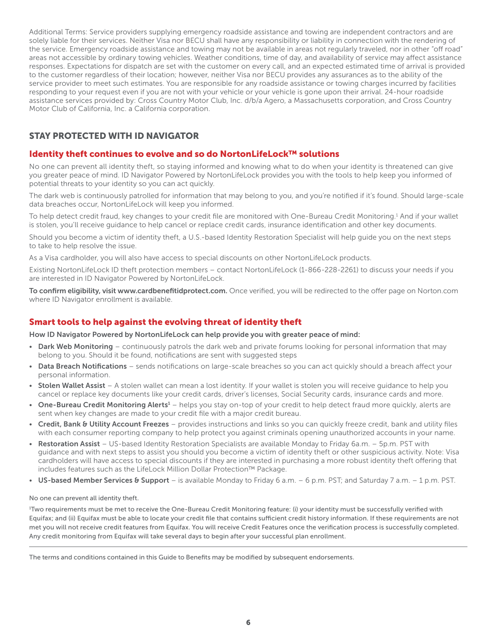Additional Terms: Service providers supplying emergency roadside assistance and towing are independent contractors and are solely liable for their services. Neither Visa nor BECU shall have any responsibility or liability in connection with the rendering of the service. Emergency roadside assistance and towing may not be available in areas not regularly traveled, nor in other "off road" areas not accessible by ordinary towing vehicles. Weather conditions, time of day, and availability of service may affect assistance responses. Expectations for dispatch are set with the customer on every call, and an expected estimated time of arrival is provided to the customer regardless of their location; however, neither Visa nor BECU provides any assurances as to the ability of the service provider to meet such estimates. You are responsible for any roadside assistance or towing charges incurred by facilities responding to your request even if you are not with your vehicle or your vehicle is gone upon their arrival. 24-hour roadside assistance services provided by: Cross Country Motor Club, Inc. d/b/a Agero, a Massachusetts corporation, and Cross Country Motor Club of California, Inc. a California corporation.

# STAY PROTECTED WITH ID NAVIGATOR

# Identity theft continues to evolve and so do NortonLifeLock™ solutions

No one can prevent all identity theft, so staying informed and knowing what to do when your identity is threatened can give you greater peace of mind. ID Navigator Powered by NortonLifeLock provides you with the tools to help keep you informed of potential threats to your identity so you can act quickly.

The dark web is continuously patrolled for information that may belong to you, and you're notified if it's found. Should large-scale data breaches occur, NortonLifeLock will keep you informed.

To help detect credit fraud, key changes to your credit file are monitored with One-Bureau Credit Monitoring.<sup>1</sup> And if your wallet is stolen, you'll receive guidance to help cancel or replace credit cards, insurance identification and other key documents.

Should you become a victim of identity theft, a U.S.-based Identity Restoration Specialist will help guide you on the next steps to take to help resolve the issue.

As a Visa cardholder, you will also have access to special discounts on other NortonLifeLock products.

Existing NortonLifeLock ID theft protection members – contact NortonLifeLock (1-866-228-2261) to discuss your needs if you are interested in ID Navigator Powered by NortonLifeLock.

To confirm eligibility, visit www.cardbenefitidprotect.com. Once verified, you will be redirected to the offer page on Norton.com where ID Navigator enrollment is available.

# Smart tools to help against the evolving threat of identity theft

How ID Navigator Powered by NortonLifeLock can help provide you with greater peace of mind:

- Dark Web Monitoring continuously patrols the dark web and private forums looking for personal information that may belong to you. Should it be found, notifications are sent with suggested steps
- Data Breach Notifications sends notifications on large-scale breaches so you can act quickly should a breach affect your personal information.
- Stolen Wallet Assist A stolen wallet can mean a lost identity. If your wallet is stolen you will receive quidance to help you cancel or replace key documents like your credit cards, driver's licenses, Social Security cards, insurance cards and more.
- One-Bureau Credit Monitoring Alerts<sup>1</sup> helps you stay on-top of your credit to help detect fraud more quickly, alerts are sent when key changes are made to your credit file with a major credit bureau.
- Credit, Bank & Utility Account Freezes provides instructions and links so you can quickly freeze credit, bank and utility files with each consumer reporting company to help protect you against criminals opening unauthorized accounts in your name.
- Restoration Assist US-based Identity Restoration Specialists are available Monday to Friday 6a.m. 5p.m. PST with guidance and with next steps to assist you should you become a victim of identity theft or other suspicious activity. Note: Visa cardholders will have access to special discounts if they are interested in purchasing a more robust identity theft offering that includes features such as the LifeLock Million Dollar Protection™ Package.
- US-based Member Services & Support is available Monday to Friday 6 a.m.  $-6$  p.m. PST; and Saturday 7 a.m.  $-1$  p.m. PST.

No one can prevent all identity theft.

1 Two requirements must be met to receive the One-Bureau Credit Monitoring feature: (i) your identity must be successfully verified with Equifax; and (ii) Equifax must be able to locate your credit file that contains sufficient credit history information. If these requirements are not met you will not receive credit features from Equifax. You will receive Credit Features once the verification process is successfully completed. Any credit monitoring from Equifax will take several days to begin after your successful plan enrollment.

The terms and conditions contained in this Guide to Benefits may be modified by subsequent endorsements.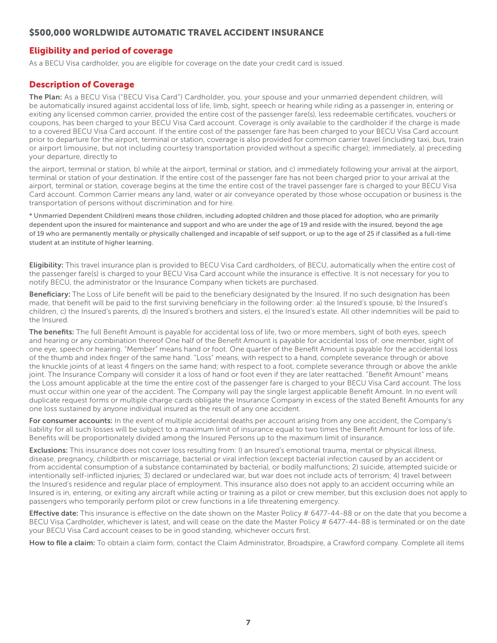# <span id="page-6-0"></span>\$500,000 WORLDWIDE AUTOMATIC TRAVEL ACCIDENT INSURANCE

# Eligibility and period of coverage

As a BECU Visa cardholder, you are eligible for coverage on the date your credit card is issued.

# Description of Coverage

The Plan: As a BECU Visa ("BECU Visa Card") Cardholder, you, your spouse and your unmarried dependent children, will be automatically insured against accidental loss of life, limb, sight, speech or hearing while riding as a passenger in, entering or exiting any licensed common carrier, provided the entire cost of the passenger fare(s), less redeemable certificates, vouchers or coupons, has been charged to your BECU Visa Card account. Coverage is only available to the cardholder if the charge is made to a covered BECU Visa Card account. If the entire cost of the passenger fare has been charged to your BECU Visa Card account prior to departure for the airport, terminal or station, coverage is also provided for common carrier travel (including taxi, bus, train or airport limousine, but not including courtesy transportation provided without a specific charge); immediately, a) preceding your departure, directly to

the airport, terminal or station, b) while at the airport, terminal or station, and c) immediately following your arrival at the airport, terminal or station of your destination. If the entire cost of the passenger fare has not been charged prior to your arrival at the airport, terminal or station, coverage begins at the time the entire cost of the travel passenger fare is charged to your BECU Visa Card account. Common Carrier means any land, water or air conveyance operated by those whose occupation or business is the transportation of persons without discrimination and for hire.

\* Unmarried Dependent Child(ren) means those children, including adopted children and those placed for adoption, who are primarily dependent upon the insured for maintenance and support and who are under the age of 19 and reside with the insured, beyond the age of 19 who are permanently mentally or physically challenged and incapable of self support, or up to the age of 25 if classified as a full-time student at an institute of higher learning.

Eligibility: This travel insurance plan is provided to BECU Visa Card cardholders, of BECU, automatically when the entire cost of the passenger fare(s) is charged to your BECU Visa Card account while the insurance is effective. It is not necessary for you to notify BECU, the administrator or the Insurance Company when tickets are purchased.

Beneficiary: The Loss of Life benefit will be paid to the beneficiary designated by the Insured. If no such designation has been made, that benefit will be paid to the first surviving beneficiary in the following order: a) the Insured's spouse, b) the Insured's children, c) the Insured's parents, d) the Insured's brothers and sisters, e) the Insured's estate. All other indemnities will be paid to the Insured.

The benefits: The full Benefit Amount is payable for accidental loss of life, two or more members, sight of both eyes, speech and hearing or any combination thereof One half of the Benefit Amount is payable for accidental loss of: one member, sight of one eye, speech or hearing. "Member" means hand or foot. One quarter of the Benefit Amount is payable for the accidental loss of the thumb and index finger of the same hand. "Loss" means, with respect to a hand, complete severance through or above the knuckle joints of at least 4 fingers on the same hand; with respect to a foot, complete severance through or above the ankle joint. The Insurance Company will consider it a loss of hand or foot even if they are later reattached. "Benefit Amount" means the Loss amount applicable at the time the entire cost of the passenger fare is charged to your BECU Visa Card account. The loss must occur within one year of the accident. The Company will pay the single largest applicable Benefit Amount. In no event will duplicate request forms or multiple charge cards obligate the Insurance Company in excess of the stated Benefit Amounts for any one loss sustained by anyone individual insured as the result of any one accident.

For consumer accounts: In the event of multiple accidental deaths per account arising from any one accident, the Company's liability for all such losses will be subject to a maximum limit of insurance equal to two times the Benefit Amount for loss of life. Benefits will be proportionately divided among the Insured Persons up to the maximum limit of insurance.

Exclusions: This insurance does not cover loss resulting from: I) an Insured's emotional trauma, mental or physical illness, disease, pregnancy, childbirth or miscarriage, bacterial or viral infection (except bacterial infection caused by an accident or from accidental consumption of a substance contaminated by bacteria), or bodily malfunctions; 2) suicide, attempted suicide or intentionally self-inflicted injuries; 3) declared or undeclared war, but war does not include acts of terrorism; 4) travel between the Insured's residence and regular place of employment. This insurance also does not apply to an accident occurring while an Insured is in, entering, or exiting any aircraft while acting or training as a pilot or crew member, but this exclusion does not apply to passengers who temporarily perform pilot or crew functions in a life threatening emergency.

Effective date: This insurance is effective on the date shown on the Master Policy # 6477-44-88 or on the date that you become a BECU Visa Cardholder, whichever is latest, and will cease on the date the Master Policy # 6477-44-88 is terminated or on the date your BECU Visa Card account ceases to be in good standing, whichever occurs first.

How to file a claim: To obtain a claim form, contact the Claim Administrator, Broadspire, a Crawford company. Complete all items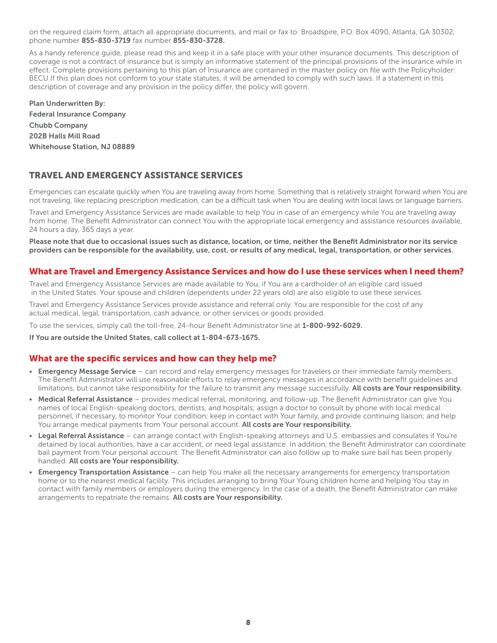on the required claim form, attach all appropriate documents, and mail or fax to: Broadspire, P.O. Box 4090, Atlanta, GA 30302, phone number 855-830-3719 fax number 855-830-3728.

As a handy reference guide, please read this and keep it in a safe place with your other insurance documents. This description of coverage is not a contract of insurance but is simply an informative statement of the principal provisions of the insurance while in effect. Complete provisions pertaining to this plan of Insurance are contained in the master policy on file with the Policyholder: BECU If this plan does not conform to your state statutes, it will be amended to comply with such laws. If a statement in this description of coverage and any provision in the policy differ, the policy will govern.

Plan Underwritten By: Federal Insurance Company Chubb Company 202B Halls Mill Road Whitehouse Station, NJ 08889

# TRAVEL AND EMERGENCY ASSISTANCE SERVICES

Emergencies can escalate quickly when You are traveling away from home. Something that is relatively straight forward when You are not traveling, like replacing prescription medication, can be a difficult task when You are dealing with local laws or language barriers.

Travel and Emergency Assistance Services are made available to help You in case of an emergency while You are traveling away from home. The Benefit Administrator can connect You with the appropriate local emergency and assistance resources available, 24 hours a day, 365 days a year.

Please note that due to occasional issues such as distance, location, or time, neither the Benefit Administrator nor its service providers can be responsible for the availability, use, cost, or results of any medical, legal, transportation, or other services.

#### What are Travel and Emergency Assistance Services and how do I use these services when I need them?

Travel and Emergency Assistance Services are made available to You, if You are a cardholder of an eligible card issued in the United States. Your spouse and children (dependents under 22 years old) are also eligible to use these services.

Travel and Emergency Assistance Services provide assistance and referral only. You are responsible for the cost of any actual medical, legal, transportation, cash advance, or other services or goods provided.

To use the services, simply call the toll-free, 24-hour Benefit Administrator line at 1-800-992-6029.

If You are outside the United States, call collect at 1-804-673-1675.

#### What are the specific services and how can they help me?

- Emergency Message Service can record and relay emergency messages for travelers or their immediate family members. The Benefit Administrator will use reasonable efforts to relay emergency messages in accordance with benefit guidelines and limitations, but cannot take responsibility for the failure to transmit any message successfully. All costs are Your responsibility.
- Medical Referral Assistance provides medical referral, monitoring, and follow-up. The Benefit Administrator can give You names of local English-speaking doctors, dentists, and hospitals; assign a doctor to consult by phone with local medical personnel, if necessary, to monitor Your condition; keep in contact with Your family, and provide continuing liaison; and help You arrange medical payments from Your personal account. All costs are Your responsibility.
- Legal Referral Assistance can arrange contact with English-speaking attorneys and U.S. embassies and consulates if You're detained by local authorities, have a car accident, or need legal assistance. In addition, the Benefit Administrator can coordinate bail payment from Your personal account. The Benefit Administrator can also follow up to make sure bail has been properly handled. All costs are Your responsibility.
- Emergency Transportation Assistance can help You make all the necessary arrangements for emergency transportation home or to the nearest medical facility. This includes arranging to bring Your Young children home and helping You stay in contact with family members or employers during the emergency. In the case of a death, the Benefit Administrator can make arrangements to repatriate the remains. All costs are Your responsibility.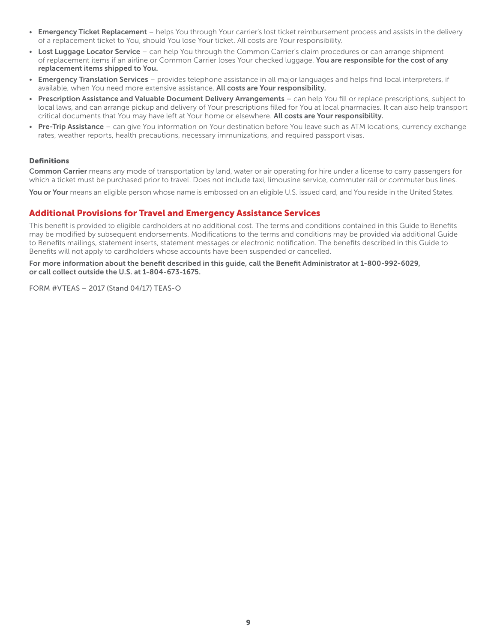- Emergency Ticket Replacement helps You through Your carrier's lost ticket reimbursement process and assists in the delivery of a replacement ticket to You, should You lose Your ticket. All costs are Your responsibility.
- Lost Luggage Locator Service can help You through the Common Carrier's claim procedures or can arrange shipment of replacement items if an airline or Common Carrier loses Your checked luggage. You are responsible for the cost of any replacement items shipped to You.
- Emergency Translation Services provides telephone assistance in all major languages and helps find local interpreters, if available, when You need more extensive assistance. All costs are Your responsibility.
- Prescription Assistance and Valuable Document Delivery Arrangements can help You fill or replace prescriptions, subject to local laws, and can arrange pickup and delivery of Your prescriptions filled for You at local pharmacies. It can also help transport critical documents that You may have left at Your home or elsewhere. All costs are Your responsibility.
- **Pre-Trip Assistance** can give You information on Your destination before You leave such as ATM locations, currency exchange rates, weather reports, health precautions, necessary immunizations, and required passport visas.

#### Definitions

Common Carrier means any mode of transportation by land, water or air operating for hire under a license to carry passengers for which a ticket must be purchased prior to travel. Does not include taxi, limousine service, commuter rail or commuter bus lines.

You or Your means an eligible person whose name is embossed on an eligible U.S. issued card, and You reside in the United States.

## Additional Provisions for Travel and Emergency Assistance Services

This benefit is provided to eligible cardholders at no additional cost. The terms and conditions contained in this Guide to Benefits may be modified by subsequent endorsements. Modifications to the terms and conditions may be provided via additional Guide to Benefits mailings, statement inserts, statement messages or electronic notification. The benefits described in this Guide to Benefits will not apply to cardholders whose accounts have been suspended or cancelled.

For more information about the benefit described in this guide, call the Benefit Administrator at 1-800-992-6029, or call collect outside the U.S. at 1-804-673-1675.

FORM #VTEAS – 2017 (Stand 04/17) TEAS-O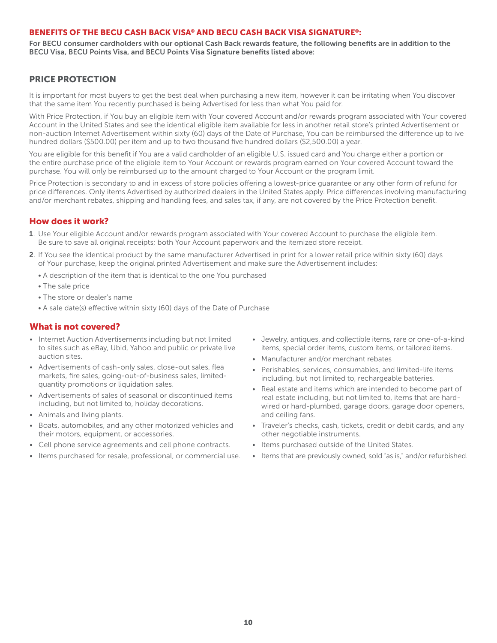#### BENEFITS OF THE BECU CASH BACK VISA® AND BECU CASH BACK VISA SIGNATURE®:

For BECU consumer cardholders with our optional Cash Back rewards feature, the following benefits are in addition to the BECU Visa, BECU Points Visa, and BECU Points Visa Signature benefits listed above:

## PRICE PROTECTION

It is important for most buyers to get the best deal when purchasing a new item, however it can be irritating when You discover that the same item You recently purchased is being Advertised for less than what You paid for.

With Price Protection, if You buy an eligible item with Your covered Account and/or rewards program associated with Your covered Account in the United States and see the identical eligible item available for less in another retail store's printed Advertisement or non-auction Internet Advertisement within sixty (60) days of the Date of Purchase, You can be reimbursed the difference up to ive hundred dollars (\$500.00) per item and up to two thousand five hundred dollars (\$2,500.00) a year.

You are eligible for this benefit if You are a valid cardholder of an eligible U.S. issued card and You charge either a portion or the entire purchase price of the eligible item to Your Account or rewards program earned on Your covered Account toward the purchase. You will only be reimbursed up to the amount charged to Your Account or the program limit.

Price Protection is secondary to and in excess of store policies offering a lowest-price guarantee or any other form of refund for price differences. Only items Advertised by authorized dealers in the United States apply. Price differences involving manufacturing and/or merchant rebates, shipping and handling fees, and sales tax, if any, are not covered by the Price Protection benefit.

# How does it work?

- 1. Use Your eligible Account and/or rewards program associated with Your covered Account to purchase the eligible item. Be sure to save all original receipts; both Your Account paperwork and the itemized store receipt.
- 2. If You see the identical product by the same manufacturer Advertised in print for a lower retail price within sixty (60) days of Your purchase, keep the original printed Advertisement and make sure the Advertisement includes:
	- A description of the item that is identical to the one You purchased
	- The sale price
	- The store or dealer's name
	- A sale date(s) effective within sixty (60) days of the Date of Purchase

#### What is not covered?

- Internet Auction Advertisements including but not limited to sites such as eBay, Ubid, Yahoo and public or private live auction sites.
- Advertisements of cash-only sales, close-out sales, flea markets, fire sales, going-out-of-business sales, limitedquantity promotions or liquidation sales.
- Advertisements of sales of seasonal or discontinued items including, but not limited to, holiday decorations.
- Animals and living plants.
- Boats, automobiles, and any other motorized vehicles and their motors, equipment, or accessories.
- Cell phone service agreements and cell phone contracts.
- Items purchased for resale, professional, or commercial use.
- Jewelry, antiques, and collectible items, rare or one-of-a-kind items, special order items, custom items, or tailored items.
- Manufacturer and/or merchant rebates
- Perishables, services, consumables, and limited-life items including, but not limited to, rechargeable batteries.
- Real estate and items which are intended to become part of real estate including, but not limited to, items that are hardwired or hard-plumbed, garage doors, garage door openers, and ceiling fans.
- Traveler's checks, cash, tickets, credit or debit cards, and any other negotiable instruments.
- Items purchased outside of the United States.
- Items that are previously owned, sold "as is," and/or refurbished.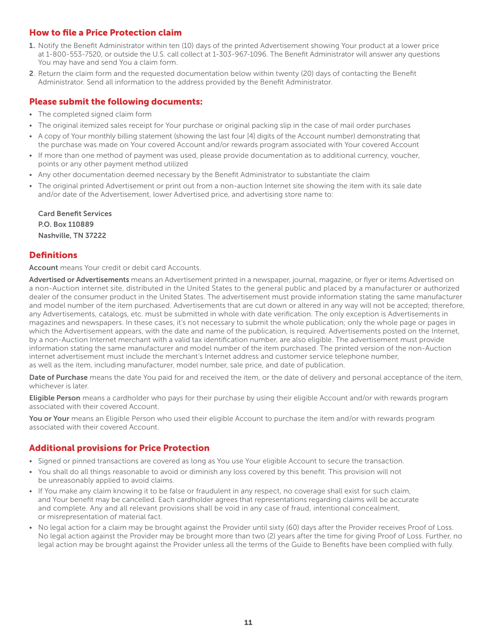# How to file a Price Protection claim

- 1. Notify the Benefit Administrator within ten (10) days of the printed Advertisement showing Your product at a lower price at 1-800-553-7520, or outside the U.S. call collect at 1-303-967-1096. The Benefit Administrator will answer any questions You may have and send You a claim form.
- 2. Return the claim form and the requested documentation below within twenty (20) days of contacting the Benefit Administrator. Send all information to the address provided by the Benefit Administrator.

# Please submit the following documents:

- The completed signed claim form
- The original itemized sales receipt for Your purchase or original packing slip in the case of mail order purchases
- A copy of Your monthly billing statement (showing the last four [4] digits of the Account number) demonstrating that the purchase was made on Your covered Account and/or rewards program associated with Your covered Account
- If more than one method of payment was used, please provide documentation as to additional currency, voucher, points or any other payment method utilized
- Any other documentation deemed necessary by the Benefit Administrator to substantiate the claim
- The original printed Advertisement or print out from a non-auction Internet site showing the item with its sale date and/or date of the Advertisement, lower Advertised price, and advertising store name to:

Card Benefit Services P.O. Box 110889 Nashville, TN 37222

# **Definitions**

**Account** means Your credit or debit card Accounts.

Advertised or Advertisements means an Advertisement printed in a newspaper, journal, magazine, or flyer or items Advertised on a non-Auction internet site, distributed in the United States to the general public and placed by a manufacturer or authorized dealer of the consumer product in the United States. The advertisement must provide information stating the same manufacturer and model number of the item purchased. Advertisements that are cut down or altered in any way will not be accepted; therefore, any Advertisements, catalogs, etc. must be submitted in whole with date verification. The only exception is Advertisements in magazines and newspapers. In these cases, it's not necessary to submit the whole publication; only the whole page or pages in which the Advertisement appears, with the date and name of the publication, is required. Advertisements posted on the Internet, by a non-Auction Internet merchant with a valid tax identification number, are also eligible. The advertisement must provide information stating the same manufacturer and model number of the item purchased. The printed version of the non-Auction internet advertisement must include the merchant's Internet address and customer service telephone number, as well as the item, including manufacturer, model number, sale price, and date of publication.

Date of Purchase means the date You paid for and received the item, or the date of delivery and personal acceptance of the item, whichever is later.

Eligible Person means a cardholder who pays for their purchase by using their eligible Account and/or with rewards program associated with their covered Account.

You or Your means an Eligible Person who used their eligible Account to purchase the item and/or with rewards program associated with their covered Account.

## Additional provisions for Price Protection

- Signed or pinned transactions are covered as long as You use Your eligible Account to secure the transaction.
- You shall do all things reasonable to avoid or diminish any loss covered by this benefit. This provision will not be unreasonably applied to avoid claims.
- If You make any claim knowing it to be false or fraudulent in any respect, no coverage shall exist for such claim, and Your benefit may be cancelled. Each cardholder agrees that representations regarding claims will be accurate and complete. Any and all relevant provisions shall be void in any case of fraud, intentional concealment, or misrepresentation of material fact.
- No legal action for a claim may be brought against the Provider until sixty (60) days after the Provider receives Proof of Loss. No legal action against the Provider may be brought more than two (2) years after the time for giving Proof of Loss. Further, no legal action may be brought against the Provider unless all the terms of the Guide to Benefits have been complied with fully.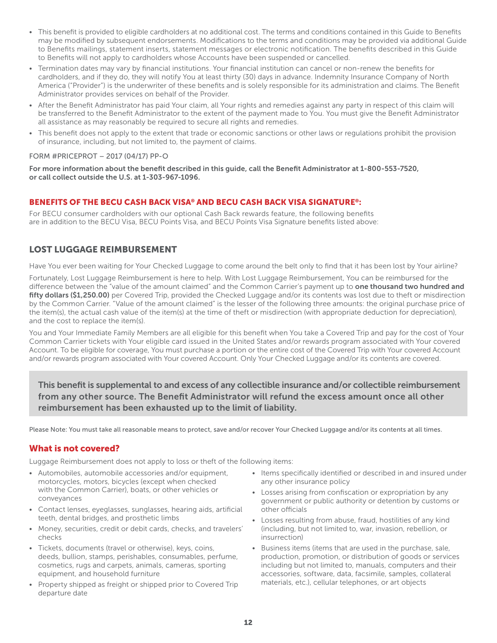- <span id="page-11-0"></span>• This benefit is provided to eligible cardholders at no additional cost. The terms and conditions contained in this Guide to Benefits may be modified by subsequent endorsements. Modifications to the terms and conditions may be provided via additional Guide to Benefits mailings, statement inserts, statement messages or electronic notification. The benefits described in this Guide to Benefits will not apply to cardholders whose Accounts have been suspended or cancelled.
- Termination dates may vary by financial institutions. Your financial institution can cancel or non-renew the benefits for cardholders, and if they do, they will notify You at least thirty (30) days in advance. Indemnity Insurance Company of North America ("Provider") is the underwriter of these benefits and is solely responsible for its administration and claims. The Benefit Administrator provides services on behalf of the Provider.
- After the Benefit Administrator has paid Your claim, all Your rights and remedies against any party in respect of this claim will be transferred to the Benefit Administrator to the extent of the payment made to You. You must give the Benefit Administrator all assistance as may reasonably be required to secure all rights and remedies.
- This benefit does not apply to the extent that trade or economic sanctions or other laws or regulations prohibit the provision of insurance, including, but not limited to, the payment of claims.

#### FORM #PRICEPROT – 2017 (04/17) PP-O

For more information about the benefit described in this guide, call the Benefit Administrator at 1-800-553-7520, or call collect outside the U.S. at 1-303-967-1096.

#### BENEFITS OF THE BECU CASH BACK VISA® AND BECU CASH BACK VISA SIGNATURE®:

For BECU consumer cardholders with our optional Cash Back rewards feature, the following benefits are in addition to the BECU Visa, BECU Points Visa, and BECU Points Visa Signature benefits listed above:

# LOST LUGGAGE REIMBURSEMENT

Have You ever been waiting for Your Checked Luggage to come around the belt only to find that it has been lost by Your airline?

Fortunately, Lost Luggage Reimbursement is here to help. With Lost Luggage Reimbursement, You can be reimbursed for the difference between the "value of the amount claimed" and the Common Carrier's payment up to one thousand two hundred and fifty dollars (\$1,250.00) per Covered Trip, provided the Checked Luggage and/or its contents was lost due to theft or misdirection by the Common Carrier. "Value of the amount claimed" is the lesser of the following three amounts: the original purchase price of the item(s), the actual cash value of the item(s) at the time of theft or misdirection (with appropriate deduction for depreciation), and the cost to replace the item(s).

You and Your Immediate Family Members are all eligible for this benefit when You take a Covered Trip and pay for the cost of Your Common Carrier tickets with Your eligible card issued in the United States and/or rewards program associated with Your covered Account. To be eligible for coverage, You must purchase a portion or the entire cost of the Covered Trip with Your covered Account and/or rewards program associated with Your covered Account. Only Your Checked Luggage and/or its contents are covered.

This benefit is supplemental to and excess of any collectible insurance and/or collectible reimbursement from any other source. The Benefit Administrator will refund the excess amount once all other reimbursement has been exhausted up to the limit of liability.

Please Note: You must take all reasonable means to protect, save and/or recover Your Checked Luggage and/or its contents at all times.

## What is not covered?

Luggage Reimbursement does not apply to loss or theft of the following items:

- Automobiles, automobile accessories and/or equipment, motorcycles, motors, bicycles (except when checked with the Common Carrier), boats, or other vehicles or conveyances
- Contact lenses, eyeglasses, sunglasses, hearing aids, artificial teeth, dental bridges, and prosthetic limbs
- Money, securities, credit or debit cards, checks, and travelers' checks
- Tickets, documents (travel or otherwise), keys, coins, deeds, bullion, stamps, perishables, consumables, perfume, cosmetics, rugs and carpets, animals, cameras, sporting equipment, and household furniture
- Property shipped as freight or shipped prior to Covered Trip departure date
- Items specifically identified or described in and insured under any other insurance policy
- Losses arising from confiscation or expropriation by any government or public authority or detention by customs or other officials
- Losses resulting from abuse, fraud, hostilities of any kind (including, but not limited to, war, invasion, rebellion, or insurrection)
- Business items (items that are used in the purchase, sale, production, promotion, or distribution of goods or services including but not limited to, manuals, computers and their accessories, software, data, facsimile, samples, collateral materials, etc.), cellular telephones, or art objects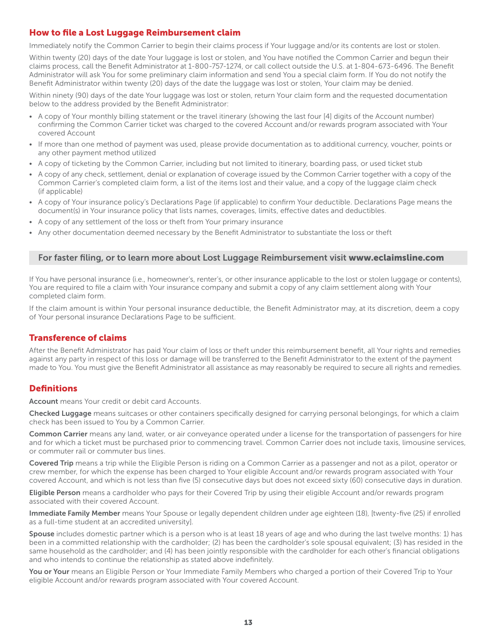# How to file a Lost Luggage Reimbursement claim

Immediately notify the Common Carrier to begin their claims process if Your luggage and/or its contents are lost or stolen.

Within twenty (20) days of the date Your luggage is lost or stolen, and You have notified the Common Carrier and begun their claims process, call the Benefit Administrator at 1-800-757-1274, or call collect outside the U.S. at 1-804-673-6496. The Benefit Administrator will ask You for some preliminary claim information and send You a special claim form. If You do not notify the Benefit Administrator within twenty (20) days of the date the luggage was lost or stolen, Your claim may be denied.

Within ninety (90) days of the date Your luggage was lost or stolen, return Your claim form and the requested documentation below to the address provided by the Benefit Administrator:

- A copy of Your monthly billing statement or the travel itinerary (showing the last four [4] digits of the Account number) confirming the Common Carrier ticket was charged to the covered Account and/or rewards program associated with Your covered Account
- If more than one method of payment was used, please provide documentation as to additional currency, voucher, points or any other payment method utilized
- A copy of ticketing by the Common Carrier, including but not limited to itinerary, boarding pass, or used ticket stub
- A copy of any check, settlement, denial or explanation of coverage issued by the Common Carrier together with a copy of the Common Carrier's completed claim form, a list of the items lost and their value, and a copy of the luggage claim check (if applicable)
- A copy of Your insurance policy's Declarations Page (if applicable) to confirm Your deductible. Declarations Page means the document(s) in Your insurance policy that lists names, coverages, limits, effective dates and deductibles.
- A copy of any settlement of the loss or theft from Your primary insurance
- Any other documentation deemed necessary by the Benefit Administrator to substantiate the loss or theft

# For faster filing, or to learn more about Lost Luggage Reimbursement visit www.eclaimsline.com

If You have personal insurance (i.e., homeowner's, renter's, or other insurance applicable to the lost or stolen luggage or contents), You are required to file a claim with Your insurance company and submit a copy of any claim settlement along with Your completed claim form.

If the claim amount is within Your personal insurance deductible, the Benefit Administrator may, at its discretion, deem a copy of Your personal insurance Declarations Page to be sufficient.

#### Transference of claims

After the Benefit Administrator has paid Your claim of loss or theft under this reimbursement benefit, all Your rights and remedies against any party in respect of this loss or damage will be transferred to the Benefit Administrator to the extent of the payment made to You. You must give the Benefit Administrator all assistance as may reasonably be required to secure all rights and remedies.

## **Definitions**

Account means Your credit or debit card Accounts.

Checked Luggage means suitcases or other containers specifically designed for carrying personal belongings, for which a claim check has been issued to You by a Common Carrier.

Common Carrier means any land, water, or air conveyance operated under a license for the transportation of passengers for hire and for which a ticket must be purchased prior to commencing travel. Common Carrier does not include taxis, limousine services, or commuter rail or commuter bus lines.

Covered Trip means a trip while the Eligible Person is riding on a Common Carrier as a passenger and not as a pilot, operator or crew member, for which the expense has been charged to Your eligible Account and/or rewards program associated with Your covered Account, and which is not less than five (5) consecutive days but does not exceed sixty (60) consecutive days in duration.

Eligible Person means a cardholder who pays for their Covered Trip by using their eligible Account and/or rewards program associated with their covered Account.

Immediate Family Member means Your Spouse or legally dependent children under age eighteen (18), [twenty-five (25) if enrolled as a full-time student at an accredited university].

Spouse includes domestic partner which is a person who is at least 18 years of age and who during the last twelve months: 1) has been in a committed relationship with the cardholder; (2) has been the cardholder's sole spousal equivalent; (3) has resided in the same household as the cardholder; and (4) has been jointly responsible with the cardholder for each other's financial obligations and who intends to continue the relationship as stated above indefinitely.

You or Your means an Eligible Person or Your Immediate Family Members who charged a portion of their Covered Trip to Your eligible Account and/or rewards program associated with Your covered Account.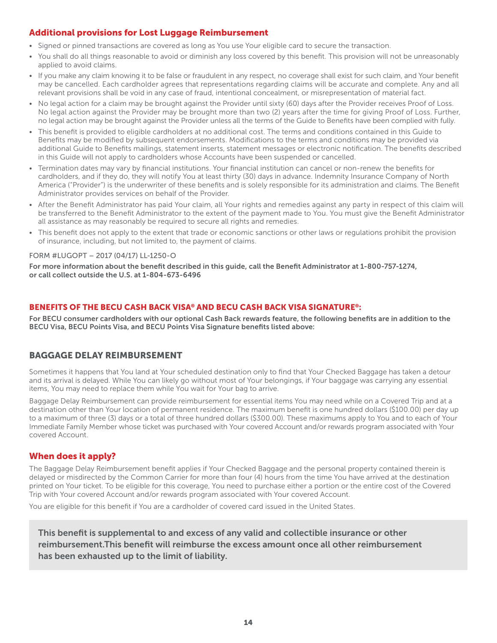# <span id="page-13-0"></span>Additional provisions for Lost Luggage Reimbursement

- Signed or pinned transactions are covered as long as You use Your eligible card to secure the transaction.
- You shall do all things reasonable to avoid or diminish any loss covered by this benefit. This provision will not be unreasonably applied to avoid claims.
- If you make any claim knowing it to be false or fraudulent in any respect, no coverage shall exist for such claim, and Your benefit may be cancelled. Each cardholder agrees that representations regarding claims will be accurate and complete. Any and all relevant provisions shall be void in any case of fraud, intentional concealment, or misrepresentation of material fact.
- No legal action for a claim may be brought against the Provider until sixty (60) days after the Provider receives Proof of Loss. No legal action against the Provider may be brought more than two (2) years after the time for giving Proof of Loss. Further, no legal action may be brought against the Provider unless all the terms of the Guide to Benefits have been complied with fully.
- This benefit is provided to eligible cardholders at no additional cost. The terms and conditions contained in this Guide to Benefits may be modified by subsequent endorsements. Modifications to the terms and conditions may be provided via additional Guide to Benefits mailings, statement inserts, statement messages or electronic notification. The benefits described in this Guide will not apply to cardholders whose Accounts have been suspended or cancelled.
- Termination dates may vary by financial institutions. Your financial institution can cancel or non-renew the benefits for cardholders, and if they do, they will notify You at least thirty (30) days in advance. Indemnity Insurance Company of North America ("Provider") is the underwriter of these benefits and is solely responsible for its administration and claims. The Benefit Administrator provides services on behalf of the Provider.
- After the Benefit Administrator has paid Your claim, all Your rights and remedies against any party in respect of this claim will be transferred to the Benefit Administrator to the extent of the payment made to You. You must give the Benefit Administrator all assistance as may reasonably be required to secure all rights and remedies.
- This benefit does not apply to the extent that trade or economic sanctions or other laws or regulations prohibit the provision of insurance, including, but not limited to, the payment of claims.

#### FORM #LUGOPT – 2017 (04/17) LL-1250-O

For more information about the benefit described in this guide, call the Benefit Administrator at 1-800-757-1274, or call collect outside the U.S. at 1-804-673-6496

## BENEFITS OF THE BECU CASH BACK VISA® AND BECU CASH BACK VISA SIGNATURE®:

For BECU consumer cardholders with our optional Cash Back rewards feature, the following benefits are in addition to the BECU Visa, BECU Points Visa, and BECU Points Visa Signature benefits listed above:

# BAGGAGE DELAY REIMBURSEMENT

Sometimes it happens that You land at Your scheduled destination only to find that Your Checked Baggage has taken a detour and its arrival is delayed. While You can likely go without most of Your belongings, if Your baggage was carrying any essential items, You may need to replace them while You wait for Your bag to arrive.

Baggage Delay Reimbursement can provide reimbursement for essential items You may need while on a Covered Trip and at a destination other than Your location of permanent residence. The maximum benefit is one hundred dollars (\$100.00) per day up to a maximum of three (3) days or a total of three hundred dollars (\$300.00). These maximums apply to You and to each of Your Immediate Family Member whose ticket was purchased with Your covered Account and/or rewards program associated with Your covered Account.

# When does it apply?

The Baggage Delay Reimbursement benefit applies if Your Checked Baggage and the personal property contained therein is delayed or misdirected by the Common Carrier for more than four (4) hours from the time You have arrived at the destination printed on Your ticket. To be eligible for this coverage, You need to purchase either a portion or the entire cost of the Covered Trip with Your covered Account and/or rewards program associated with Your covered Account.

You are eligible for this benefit if You are a cardholder of covered card issued in the United States.

This benefit is supplemental to and excess of any valid and collectible insurance or other reimbursement.This benefit will reimburse the excess amount once all other reimbursement has been exhausted up to the limit of liability.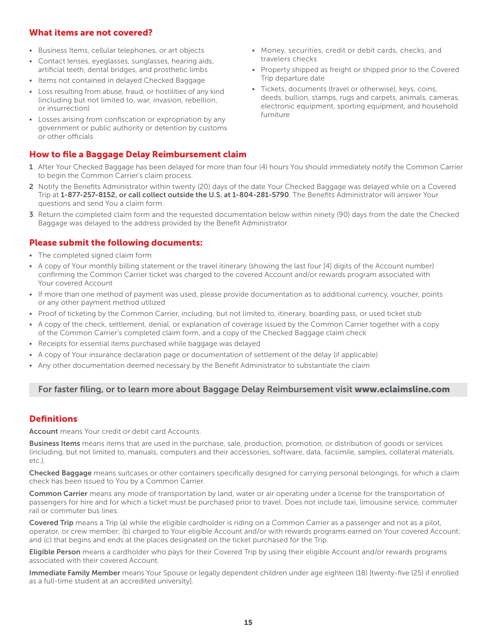#### What items are not covered?

- Business Items, cellular telephones, or art objects
- Contact lenses, eyeglasses, sunglasses, hearing aids, artificial teeth, dental bridges, and prosthetic limbs
- Items not contained in delayed Checked Baggage
- Loss resulting from abuse, fraud, or hostilities of any kind (including but not limited to, war, invasion, rebellion, or insurrection)
- Losses arising from confiscation or expropriation by any government or public authority or detention by customs or other officials

## How to file a Baggage Delay Reimbursement claim

- Money, securities, credit or debit cards, checks, and travelers checks
- Property shipped as freight or shipped prior to the Covered Trip departure date
- Tickets, documents (travel or otherwise), keys, coins, deeds, bullion, stamps, rugs and carpets, animals, cameras, electronic equipment, sporting equipment, and household furniture
- 1. After Your Checked Baggage has been delayed for more than four (4) hours You should immediately notify the Common Carrier to begin the Common Carrier's claim process.
- 2 Notify the Benefits Administrator within twenty (20) days of the date Your Checked Baggage was delayed while on a Covered Trip at 1-877-257-8152, or call collect outside the U.S. at 1-804-281-5790. The Benefits Administrator will answer Your questions and send You a claim form.
- 3. Return the completed claim form and the requested documentation below within ninety (90) days from the date the Checked Baggage was delayed to the address provided by the Benefit Administrator.

# Please submit the following documents:

- The completed signed claim form
- A copy of Your monthly billing statement or the travel itinerary (showing the last four [4] digits of the Account number) confirming the Common Carrier ticket was charged to the covered Account and/or rewards program associated with Your covered Account
- If more than one method of payment was used, please provide documentation as to additional currency, voucher, points or any other payment method utilized
- Proof of ticketing by the Common Carrier, including, but not limited to, itinerary, boarding pass, or used ticket stub
- A copy of the check, settlement, denial, or explanation of coverage issued by the Common Carrier together with a copy of the Common Carrier's completed claim form, and a copy of the Checked Baggage claim check
- Receipts for essential items purchased while baggage was delayed
- A copy of Your insurance declaration page or documentation of settlement of the delay (if applicable)
- Any other documentation deemed necessary by the Benefit Administrator to substantiate the claim

#### For faster filing, or to learn more about Baggage Delay Reimbursement visit www.eclaimsline.com

## **Definitions**

Account means Your credit or debit card Accounts.

Business Items means items that are used in the purchase, sale, production, promotion, or distribution of goods or services (including, but not limited to, manuals, computers and their accessories, software, data, facsimile, samples, collateral materials, etc.).

Checked Baggage means suitcases or other containers specifically designed for carrying personal belongings, for which a claim check has been issued to You by a Common Carrier.

Common Carrier means any mode of transportation by land, water or air operating under a license for the transportation of passengers for hire and for which a ticket must be purchased prior to travel. Does not include taxi, limousine service, commuter rail or commuter bus lines.

Covered Trip means a Trip (a) while the eligible cardholder is riding on a Common Carrier as a passenger and not as a pilot, operator, or crew member; (b) charged to Your eligible Account and/or with rewards programs earned on Your covered Account; and (c) that begins and ends at the places designated on the ticket purchased for the Trip.

Eligible Person means a cardholder who pays for their Covered Trip by using their eligible Account and/or rewards programs associated with their covered Account.

Immediate Family Member means Your Spouse or legally dependent children under age eighteen (18) [twenty-five (25) if enrolled as a full-time student at an accredited university].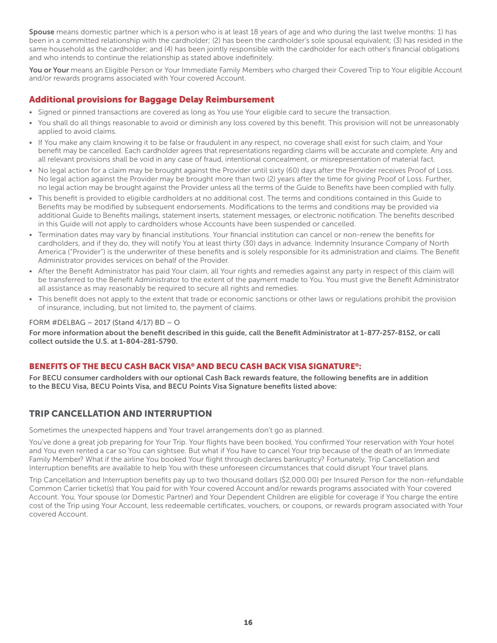<span id="page-15-0"></span>Spouse means domestic partner which is a person who is at least 18 years of age and who during the last twelve months: 1) has been in a committed relationship with the cardholder; (2) has been the cardholder's sole spousal equivalent; (3) has resided in the same household as the cardholder; and (4) has been jointly responsible with the cardholder for each other's financial obligations and who intends to continue the relationship as stated above indefinitely.

You or Your means an Eligible Person or Your Immediate Family Members who charged their Covered Trip to Your eligible Account and/or rewards programs associated with Your covered Account.

## Additional provisions for Baggage Delay Reimbursement

- Signed or pinned transactions are covered as long as You use Your eligible card to secure the transaction.
- You shall do all things reasonable to avoid or diminish any loss covered by this benefit. This provision will not be unreasonably applied to avoid claims.
- If You make any claim knowing it to be false or fraudulent in any respect, no coverage shall exist for such claim, and Your benefit may be cancelled. Each cardholder agrees that representations regarding claims will be accurate and complete. Any and all relevant provisions shall be void in any case of fraud, intentional concealment, or misrepresentation of material fact.
- No legal action for a claim may be brought against the Provider until sixty (60) days after the Provider receives Proof of Loss. No legal action against the Provider may be brought more than two (2) years after the time for giving Proof of Loss. Further, no legal action may be brought against the Provider unless all the terms of the Guide to Benefits have been complied with fully.
- This benefit is provided to eligible cardholders at no additional cost. The terms and conditions contained in this Guide to Benefits may be modified by subsequent endorsements. Modifications to the terms and conditions may be provided via additional Guide to Benefits mailings, statement inserts, statement messages, or electronic notification. The benefits described in this Guide will not apply to cardholders whose Accounts have been suspended or cancelled.
- Termination dates may vary by financial institutions. Your financial institution can cancel or non-renew the benefits for cardholders, and if they do, they will notify You at least thirty (30) days in advance. Indemnity Insurance Company of North America ("Provider") is the underwriter of these benefits and is solely responsible for its administration and claims. The Benefit Administrator provides services on behalf of the Provider.
- After the Benefit Administrator has paid Your claim, all Your rights and remedies against any party in respect of this claim will be transferred to the Benefit Administrator to the extent of the payment made to You. You must give the Benefit Administrator all assistance as may reasonably be required to secure all rights and remedies.
- This benefit does not apply to the extent that trade or economic sanctions or other laws or regulations prohibit the provision of insurance, including, but not limited to, the payment of claims.

#### FORM #DELBAG – 2017 (Stand 4/17) BD – O

For more information about the benefit described in this guide, call the Benefit Administrator at 1-877-257-8152, or call collect outside the U.S. at 1-804-281-5790.

# BENEFITS OF THE BECU CASH BACK VISA® AND BECU CASH BACK VISA SIGNATURE®:

For BECU consumer cardholders with our optional Cash Back rewards feature, the following benefits are in addition to the BECU Visa, BECU Points Visa, and BECU Points Visa Signature benefits listed above:

# TRIP CANCELLATION AND INTERRUPTION

Sometimes the unexpected happens and Your travel arrangements don't go as planned.

You've done a great job preparing for Your Trip. Your flights have been booked, You confirmed Your reservation with Your hotel and You even rented a car so You can sightsee. But what if You have to cancel Your trip because of the death of an Immediate Family Member? What if the airline You booked Your flight through declares bankruptcy? Fortunately, Trip Cancellation and Interruption benefits are available to help You with these unforeseen circumstances that could disrupt Your travel plans.

Trip Cancellation and Interruption benefits pay up to two thousand dollars (\$2,000.00) per Insured Person for the non-refundable Common Carrier ticket(s) that You paid for with Your covered Account and/or rewards programs associated with Your covered Account. You, Your spouse (or Domestic Partner) and Your Dependent Children are eligible for coverage if You charge the entire cost of the Trip using Your Account, less redeemable certificates, vouchers, or coupons, or rewards program associated with Your covered Account.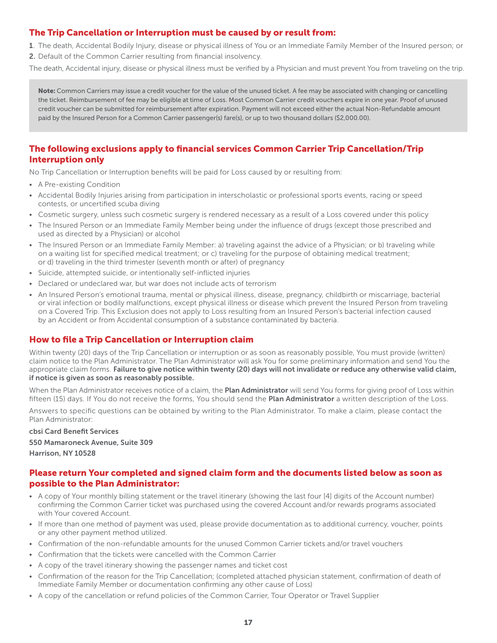# The Trip Cancellation or Interruption must be caused by or result from:

1. The death, Accidental Bodily Injury, disease or physical illness of You or an Immediate Family Member of the Insured person; or

2. Default of the Common Carrier resulting from financial insolvency.

The death, Accidental injury, disease or physical illness must be verified by a Physician and must prevent You from traveling on the trip.

Note: Common Carriers may issue a credit voucher for the value of the unused ticket. A fee may be associated with changing or cancelling the ticket. Reimbursement of fee may be eligible at time of Loss. Most Common Carrier credit vouchers expire in one year. Proof of unused credit voucher can be submitted for reimbursement after expiration. Payment will not exceed either the actual Non-Refundable amount paid by the Insured Person for a Common Carrier passenger(s) fare(s), or up to two thousand dollars (\$2,000.00).

# The following exclusions apply to financial services Common Carrier Trip Cancellation/Trip Interruption only

No Trip Cancellation or Interruption benefits will be paid for Loss caused by or resulting from:

• A Pre-existing Condition

- Accidental Bodily Injuries arising from participation in interscholastic or professional sports events, racing or speed contests, or uncertified scuba diving
- Cosmetic surgery, unless such cosmetic surgery is rendered necessary as a result of a Loss covered under this policy
- The Insured Person or an Immediate Family Member being under the influence of drugs (except those prescribed and used as directed by a Physician) or alcohol
- The Insured Person or an Immediate Family Member: a) traveling against the advice of a Physician; or b) traveling while on a waiting list for specified medical treatment; or c) traveling for the purpose of obtaining medical treatment; or d) traveling in the third trimester (seventh month or after) of pregnancy
- Suicide, attempted suicide, or intentionally self-inflicted injuries
- Declared or undeclared war, but war does not include acts of terrorism
- An Insured Person's emotional trauma, mental or physical illness, disease, pregnancy, childbirth or miscarriage, bacterial or viral infection or bodily malfunctions, except physical illness or disease which prevent the Insured Person from traveling on a Covered Trip. This Exclusion does not apply to Loss resulting from an Insured Person's bacterial infection caused by an Accident or from Accidental consumption of a substance contaminated by bacteria.

# How to file a Trip Cancellation or Interruption claim

Within twenty (20) days of the Trip Cancellation or interruption or as soon as reasonably possible, You must provide (written) claim notice to the Plan Administrator. The Plan Administrator will ask You for some preliminary information and send You the appropriate claim forms. Failure to give notice within twenty (20) days will not invalidate or reduce any otherwise valid claim, if notice is given as soon as reasonably possible.

When the Plan Administrator receives notice of a claim, the **Plan Administrator** will send You forms for giving proof of Loss within fifteen (15) days. If You do not receive the forms, You should send the Plan Administrator a written description of the Loss.

Answers to specific questions can be obtained by writing to the Plan Administrator. To make a claim, please contact the Plan Administrator:

cbsi Card Benefit Services 550 Mamaroneck Avenue, Suite 309 Harrison, NY 10528

#### Please return Your completed and signed claim form and the documents listed below as soon as possible to the Plan Administrator:

- A copy of Your monthly billing statement or the travel itinerary (showing the last four [4] digits of the Account number) confirming the Common Carrier ticket was purchased using the covered Account and/or rewards programs associated with Your covered Account.
- If more than one method of payment was used, please provide documentation as to additional currency, voucher, points or any other payment method utilized.
- Confirmation of the non-refundable amounts for the unused Common Carrier tickets and/or travel vouchers
- Confirmation that the tickets were cancelled with the Common Carrier
- A copy of the travel itinerary showing the passenger names and ticket cost
- Confirmation of the reason for the Trip Cancellation; (completed attached physician statement, confirmation of death of Immediate Family Member or documentation confirming any other cause of Loss)
- A copy of the cancellation or refund policies of the Common Carrier, Tour Operator or Travel Supplier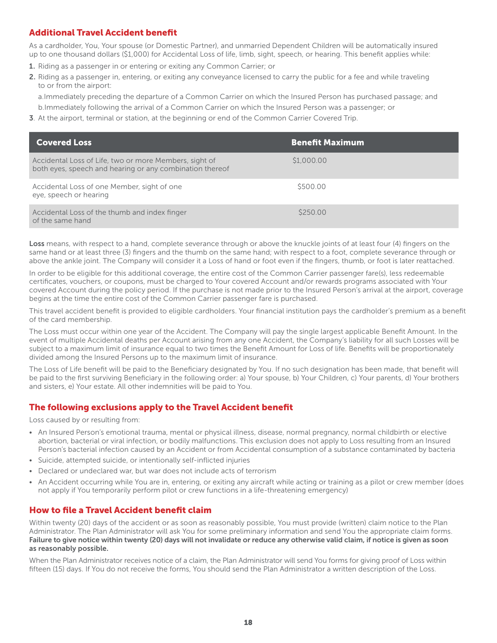# <span id="page-17-0"></span>Additional Travel Accident benefit

As a cardholder, You, Your spouse (or Domestic Partner), and unmarried Dependent Children will be automatically insured up to one thousand dollars (\$1,000) for Accidental Loss of life, limb, sight, speech, or hearing. This benefit applies while:

- 1. Riding as a passenger in or entering or exiting any Common Carrier; or
- 2. Riding as a passenger in, entering, or exiting any conveyance licensed to carry the public for a fee and while traveling to or from the airport:

a.Immediately preceding the departure of a Common Carrier on which the Insured Person has purchased passage; and

- b.Immediately following the arrival of a Common Carrier on which the Insured Person was a passenger; or
- **3**. At the airport, terminal or station, at the beginning or end of the Common Carrier Covered Trip.

| <b>Covered Loss</b>                                                                                                | <b>Benefit Maximum</b> |
|--------------------------------------------------------------------------------------------------------------------|------------------------|
| Accidental Loss of Life, two or more Members, sight of<br>both eyes, speech and hearing or any combination thereof | \$1,000.00             |
| Accidental Loss of one Member, sight of one<br>eye, speech or hearing                                              | \$500.00               |
| Accidental Loss of the thumb and index finger<br>of the same hand                                                  | \$250.00               |

Loss means, with respect to a hand, complete severance through or above the knuckle joints of at least four (4) fingers on the same hand or at least three (3) fingers and the thumb on the same hand; with respect to a foot, complete severance through or above the ankle joint. The Company will consider it a Loss of hand or foot even if the fingers, thumb, or foot is later reattached.

In order to be eligible for this additional coverage, the entire cost of the Common Carrier passenger fare(s), less redeemable certificates, vouchers, or coupons, must be charged to Your covered Account and/or rewards programs associated with Your covered Account during the policy period. If the purchase is not made prior to the Insured Person's arrival at the airport, coverage begins at the time the entire cost of the Common Carrier passenger fare is purchased.

This travel accident benefit is provided to eligible cardholders. Your financial institution pays the cardholder's premium as a benefit of the card membership.

The Loss must occur within one year of the Accident. The Company will pay the single largest applicable Benefit Amount. In the event of multiple Accidental deaths per Account arising from any one Accident, the Company's liability for all such Losses will be subject to a maximum limit of insurance equal to two times the Benefit Amount for Loss of life. Benefits will be proportionately divided among the Insured Persons up to the maximum limit of insurance.

The Loss of Life benefit will be paid to the Beneficiary designated by You. If no such designation has been made, that benefit will be paid to the first surviving Beneficiary in the following order: a) Your spouse, b) Your Children, c) Your parents, d) Your brothers and sisters, e) Your estate. All other indemnities will be paid to You.

## The following exclusions apply to the Travel Accident benefit

Loss caused by or resulting from:

- An Insured Person's emotional trauma, mental or physical illness, disease, normal pregnancy, normal childbirth or elective abortion, bacterial or viral infection, or bodily malfunctions. This exclusion does not apply to Loss resulting from an Insured Person's bacterial infection caused by an Accident or from Accidental consumption of a substance contaminated by bacteria
- Suicide, attempted suicide, or intentionally self-inflicted injuries
- Declared or undeclared war, but war does not include acts of terrorism
- An Accident occurring while You are in, entering, or exiting any aircraft while acting or training as a pilot or crew member (does not apply if You temporarily perform pilot or crew functions in a life-threatening emergency)

## How to file a Travel Accident benefit claim

Within twenty (20) days of the accident or as soon as reasonably possible, You must provide (written) claim notice to the Plan Administrator. The Plan Administrator will ask You for some preliminary information and send You the appropriate claim forms. Failure to give notice within twenty (20) days will not invalidate or reduce any otherwise valid claim, if notice is given as soon as reasonably possible.

When the Plan Administrator receives notice of a claim, the Plan Administrator will send You forms for giving proof of Loss within fifteen (15) days. If You do not receive the forms, You should send the Plan Administrator a written description of the Loss.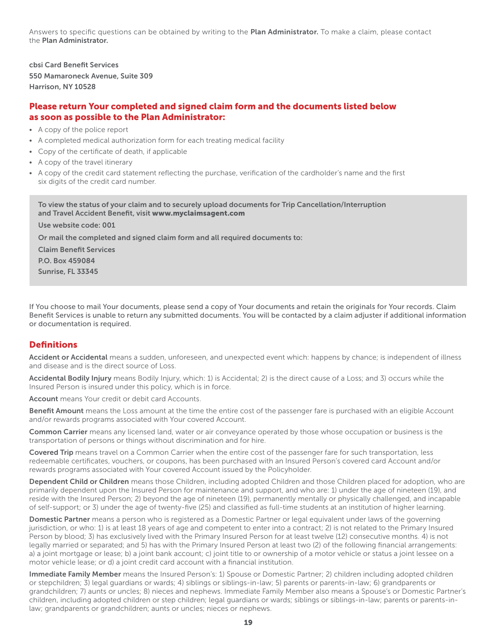Answers to specific questions can be obtained by writing to the Plan Administrator. To make a claim, please contact the Plan Administrator.

cbsi Card Benefit Services 550 Mamaroneck Avenue, Suite 309 Harrison, NY 10528

## Please return Your completed and signed claim form and the documents listed below as soon as possible to the Plan Administrator:

- A copy of the police report
- A completed medical authorization form for each treating medical facility
- Copy of the certificate of death, if applicable
- A copy of the travel itinerary
- A copy of the credit card statement reflecting the purchase, verification of the cardholder's name and the first six digits of the credit card number.

To view the status of your claim and to securely upload documents for Trip Cancellation/Interruption and Travel Accident Benefit, visit www.myclaimsagent.com

Use website code: 001 Or mail the completed and signed claim form and all required documents to: Claim Benefit Services P.O. Box 459084

Sunrise, FL 33345

If You choose to mail Your documents, please send a copy of Your documents and retain the originals for Your records. Claim Benefit Services is unable to return any submitted documents. You will be contacted by a claim adjuster if additional information or documentation is required.

#### **Definitions**

Accident or Accidental means a sudden, unforeseen, and unexpected event which: happens by chance; is independent of illness and disease and is the direct source of Loss.

Accidental Bodily Injury means Bodily Injury, which: 1) is Accidental; 2) is the direct cause of a Loss; and 3) occurs while the Insured Person is insured under this policy, which is in force.

Account means Your credit or debit card Accounts.

Benefit Amount means the Loss amount at the time the entire cost of the passenger fare is purchased with an eligible Account and/or rewards programs associated with Your covered Account.

Common Carrier means any licensed land, water or air conveyance operated by those whose occupation or business is the transportation of persons or things without discrimination and for hire.

Covered Trip means travel on a Common Carrier when the entire cost of the passenger fare for such transportation, less redeemable certificates, vouchers, or coupons, has been purchased with an Insured Person's covered card Account and/or rewards programs associated with Your covered Account issued by the Policyholder.

Dependent Child or Children means those Children, including adopted Children and those Children placed for adoption, who are primarily dependent upon the Insured Person for maintenance and support, and who are: 1) under the age of nineteen (19), and reside with the Insured Person; 2) beyond the age of nineteen (19), permanently mentally or physically challenged, and incapable of self-support; or 3) under the age of twenty-five (25) and classified as full-time students at an institution of higher learning.

Domestic Partner means a person who is registered as a Domestic Partner or legal equivalent under laws of the governing jurisdiction, or who: 1) is at least 18 years of age and competent to enter into a contract; 2) is not related to the Primary Insured Person by blood; 3) has exclusively lived with the Primary Insured Person for at least twelve (12) consecutive months. 4) is not legally married or separated; and 5) has with the Primary Insured Person at least two (2) of the following financial arrangements: a) a joint mortgage or lease; b) a joint bank account; c) joint title to or ownership of a motor vehicle or status a joint lessee on a motor vehicle lease; or d) a joint credit card account with a financial institution.

Immediate Family Member means the Insured Person's: 1) Spouse or Domestic Partner; 2) children including adopted children or stepchildren; 3) legal guardians or wards; 4) siblings or siblings-in-law; 5) parents or parents-in-law; 6) grandparents or grandchildren; 7) aunts or uncles; 8) nieces and nephews. Immediate Family Member also means a Spouse's or Domestic Partner's children, including adopted children or step children; legal guardians or wards; siblings or siblings-in-law; parents or parents-inlaw; grandparents or grandchildren; aunts or uncles; nieces or nephews.